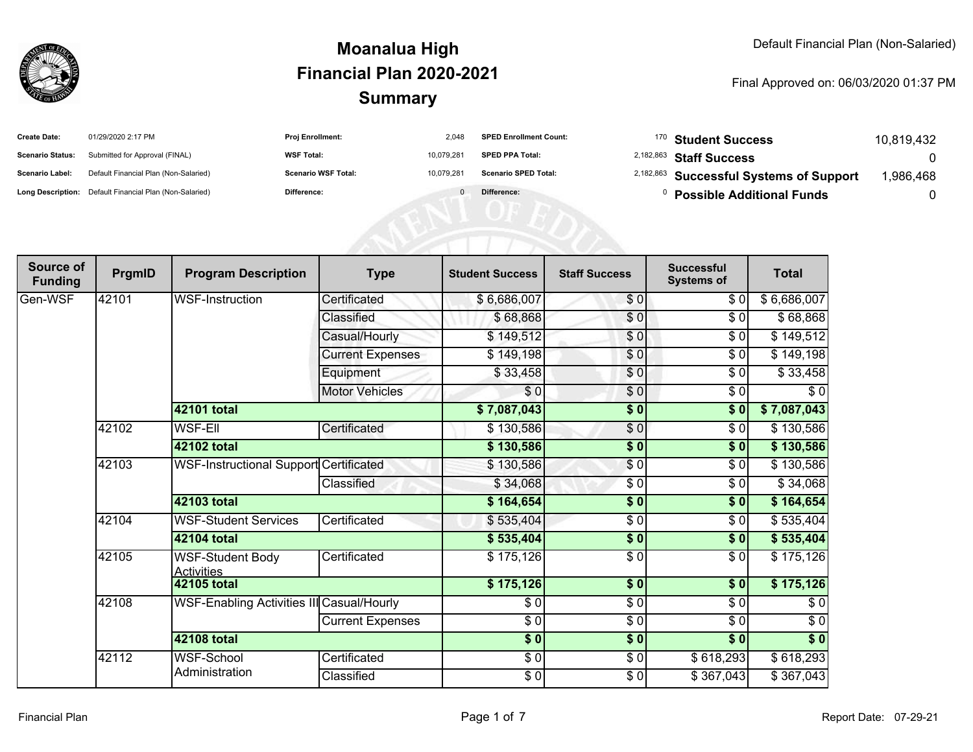

| <b>Create Date:</b>     | 01/29/2020 2:17 PM                                      | <b>Proi Enrollment:</b>    | 2.048      | <b>SPED Enrollment Count:</b> | <sup>170</sup> Student Success                     | 10.819.432 |
|-------------------------|---------------------------------------------------------|----------------------------|------------|-------------------------------|----------------------------------------------------|------------|
| <b>Scenario Status:</b> | Submitted for Approval (FINAL)                          | <b>WSF Total:</b>          | 10.079.281 | <b>SPED PPA Total:</b>        | <sup>2,182,863</sup> Staff Success                 |            |
| <b>Scenario Label:</b>  | Default Financial Plan (Non-Salaried)                   | <b>Scenario WSF Total:</b> | 10.079.281 | <b>Scenario SPED Total:</b>   | <sup>2,182,863</sup> Successful Systems of Support | ,986,468   |
|                         | Long Description: Default Financial Plan (Non-Salaried) | Difference:                |            | Difference:                   | <b>Possible Additional Funds</b>                   |            |

| Source of<br><b>Funding</b> | PrgmID | <b>Program Description</b>                   | <b>Type</b>             | <b>Student Success</b> | <b>Staff Success</b> | <b>Successful</b><br><b>Systems of</b> | <b>Total</b>     |
|-----------------------------|--------|----------------------------------------------|-------------------------|------------------------|----------------------|----------------------------------------|------------------|
| Gen-WSF                     | 42101  | <b>WSF-Instruction</b>                       | Certificated            | \$6,686,007            | \$0                  | \$0                                    | \$6,686,007      |
|                             |        |                                              | Classified              | \$68,868               | $\overline{\$0}$     | \$0                                    | \$68,868         |
|                             |        |                                              | Casual/Hourly           | \$149,512              | \$0                  | \$0                                    | \$149,512        |
|                             |        |                                              | <b>Current Expenses</b> | \$149,198              | \$0                  | \$0                                    | \$149,198        |
|                             |        |                                              | Equipment               | \$33,458               | $\frac{6}{3}$        | \$0                                    | \$33,458         |
|                             |        |                                              | <b>Motor Vehicles</b>   | \$0                    | \$0                  | \$0                                    | \$0              |
|                             |        | <b>42101 total</b>                           |                         | \$7,087,043            | $\frac{1}{2}$        | \$0                                    | \$7,087,043      |
|                             | 42102  | <b>WSF-EII</b>                               | Certificated            | \$130,586              | $\frac{6}{6}$        | \$0                                    | \$130,586        |
|                             |        | 42102 total                                  |                         | \$130,586              | $\sqrt{6}$           | \$0                                    | \$130,586        |
|                             | 42103  | WSF-Instructional Support Certificated       |                         | \$130,586              | $\sqrt{6}$           | \$0                                    | \$130,586        |
|                             |        |                                              | Classified              | \$34,068               | \$0                  | \$0                                    | \$34,068         |
|                             |        | 42103 total                                  |                         | \$164,654              | $\frac{1}{2}$        | \$0                                    | \$164,654        |
|                             | 42104  | <b>WSF-Student Services</b>                  | Certificated            | \$535,404              | $\frac{6}{6}$        | $\sqrt{6}$                             | \$535,404        |
|                             |        | 42104 total                                  |                         | \$535,404              | $\sqrt{6}$           | \$0                                    | \$535,404        |
|                             | 42105  | <b>WSF-Student Body</b><br><b>Activities</b> | Certificated            | \$175,126              | $\frac{3}{2}$        | \$0                                    | \$175,126        |
|                             |        | <b>42105 total</b>                           |                         | \$175,126              | $\sqrt{50}$          | $\overline{\$0}$                       | \$175,126        |
|                             | 42108  | WSF-Enabling Activities III Casual/Hourly    |                         | \$0                    | $\overline{\$0}$     | \$0                                    | \$0              |
|                             |        |                                              | <b>Current Expenses</b> | \$0                    | \$0                  | \$0                                    | \$0              |
|                             |        | 42108 total                                  |                         | $\overline{\$0}$       | $\overline{\$0}$     | $\overline{\$0}$                       | $\overline{\$}0$ |
|                             | 42112  | <b>WSF-School</b>                            | Certificated            | \$0                    | $\frac{1}{\sqrt{2}}$ | \$618,293                              | \$618,293        |
|                             |        | Administration                               | Classified              | \$0                    | $\frac{1}{\sqrt{2}}$ | \$367,043                              | \$367,043        |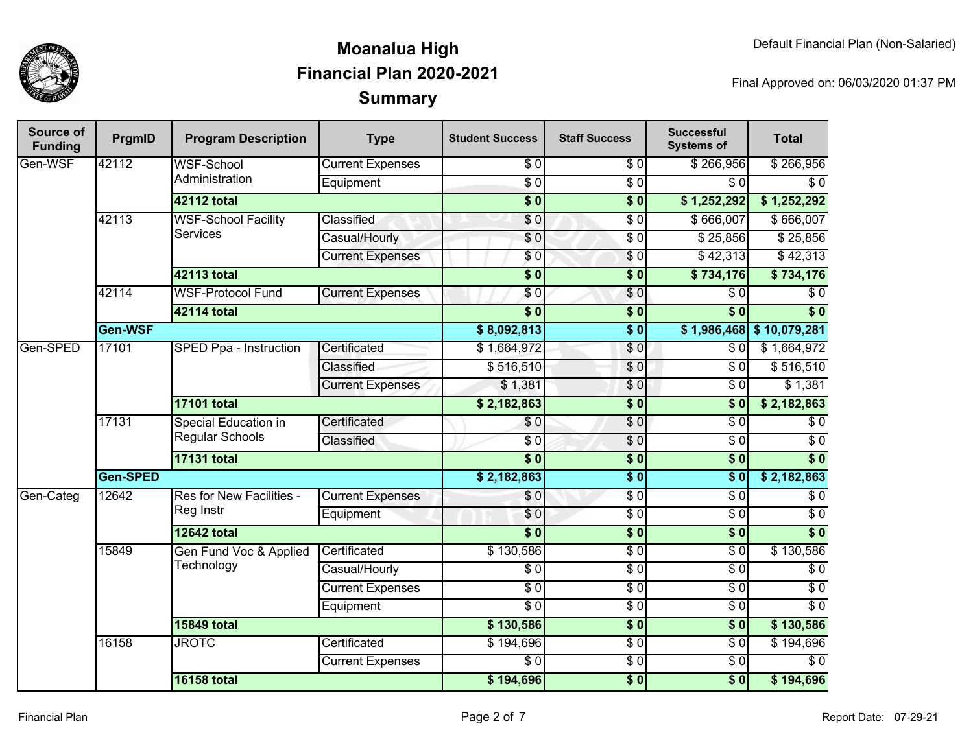

| Source of<br><b>Funding</b> | PrgmID         | <b>Program Description</b>              | <b>Type</b>             | <b>Student Success</b> | <b>Staff Success</b>        | <b>Successful</b><br><b>Systems of</b> | <b>Total</b>               |
|-----------------------------|----------------|-----------------------------------------|-------------------------|------------------------|-----------------------------|----------------------------------------|----------------------------|
| Gen-WSF                     | 42112          | WSF-School<br>Administration            | <b>Current Expenses</b> | \$0                    | \$0                         | \$266,956                              | \$266,956                  |
|                             |                |                                         | Equipment               | $\overline{30}$        | $\overline{S}0$             | $\sqrt{3}0$                            | $\overline{\$0}$           |
|                             |                | 42112 total                             |                         | $\overline{\$0}$       | $\overline{\$0}$            | \$1,252,292                            | \$1,252,292                |
|                             | 42113          | <b>WSF-School Facility</b>              | Classified              | \$0                    | $\overline{S}0$             | \$666,007                              | \$666,007                  |
|                             |                | <b>Services</b>                         | Casual/Hourly           | \$0                    | $\overline{50}$             | \$25,856                               | \$25,856                   |
|                             |                |                                         | <b>Current Expenses</b> | \$0                    | $\sqrt{6}$                  | \$42,313                               | \$42,313                   |
|                             |                | <b>42113 total</b>                      |                         | $\overline{\$0}$       | $\overline{\$0}$            | \$734,176                              | \$734,176                  |
|                             | 42114          | <b>WSF-Protocol Fund</b>                | <b>Current Expenses</b> | \$0                    | \$0                         | $\overline{\$0}$                       | $\overline{\$0}$           |
|                             |                | 42114 total                             |                         | $\overline{\$0}$       | $\overline{\$0}$            | $\overline{\$0}$                       | $\overline{\$0}$           |
|                             | <b>Gen-WSF</b> |                                         |                         | \$8,092,813            | $\overline{\$0}$            |                                        | $$1,986,468$ $$10,079,281$ |
| Gen-SPED                    | 17101          | SPED Ppa - Instruction                  | Certificated            | \$1,664,972            | \$0                         | \$0                                    | \$1,664,972                |
|                             |                |                                         | Classified              | \$516,510              | \$0                         | $\overline{\$0}$                       | \$516,510                  |
|                             |                |                                         | <b>Current Expenses</b> | \$1,381                | \$0                         | $\sqrt{3}0$                            | \$1,381                    |
|                             |                | <b>17101 total</b>                      |                         | \$2,182,863            | $\overline{\$0}$            | $\overline{\$0}$                       | \$2,182,863                |
|                             | 17131          | Special Education in<br>Regular Schools | Certificated            | \$0                    | \$0                         | $\sqrt{6}$                             | $\overline{\$0}$           |
|                             |                |                                         | Classified              | $\overline{30}$        | \$0                         | $\overline{\$0}$                       | $\overline{60}$            |
|                             |                | <b>17131 total</b>                      |                         | $\overline{\bullet}$ 0 | $\overline{\$0}$            | $\overline{\$0}$                       | $\overline{\$0}$           |
|                             | Gen-SPED       |                                         |                         | \$2,182,863            | $\overline{\$0}$            | $\overline{\$0}$                       | \$2,182,863                |
| Gen-Categ                   | 12642          | Res for New Facilities -                | <b>Current Expenses</b> | \$0                    | $\overline{S}0$             | \$0                                    | $\overline{\$0}$           |
|                             |                | Reg Instr                               | Equipment               | \$0                    | $\overline{50}$             | $\overline{\$0}$                       | $\overline{30}$            |
|                             |                | <b>12642 total</b>                      |                         | $\overline{\$0}$       | $\overline{\$0}$            | $\overline{\$0}$                       | $\overline{\$0}$           |
|                             | 15849          | Gen Fund Voc & Applied                  | Certificated            | \$130,586              | $\overline{S}$ <sub>0</sub> | $\overline{\$0}$                       | \$130,586                  |
|                             |                | Technology                              | Casual/Hourly           | $\overline{\$0}$       | $\overline{S}0$             | $\overline{\$0}$                       | $\overline{30}$            |
|                             |                |                                         | <b>Current Expenses</b> | $\overline{50}$        | $\overline{60}$             | $\overline{\$0}$                       | $\overline{60}$            |
|                             |                |                                         | Equipment               | $\overline{50}$        | $\overline{60}$             | $\sqrt{3}0$                            | $\overline{\$0}$           |
|                             |                | <b>15849 total</b>                      |                         | \$130,586              | $\overline{\$0}$            | $\overline{\$0}$                       | \$130,586                  |
|                             | 16158          | <b>JROTC</b>                            | Certificated            | \$194,696              | $\overline{60}$             | $\sqrt{3}0$                            | \$194,696                  |
|                             |                |                                         | <b>Current Expenses</b> | $\overline{50}$        | $\overline{60}$             | $\sqrt{50}$                            | $\overline{S}0$            |
|                             |                | <b>16158 total</b>                      |                         | \$194,696              | $\overline{\$0}$            | $\overline{\$0}$                       | \$194,696                  |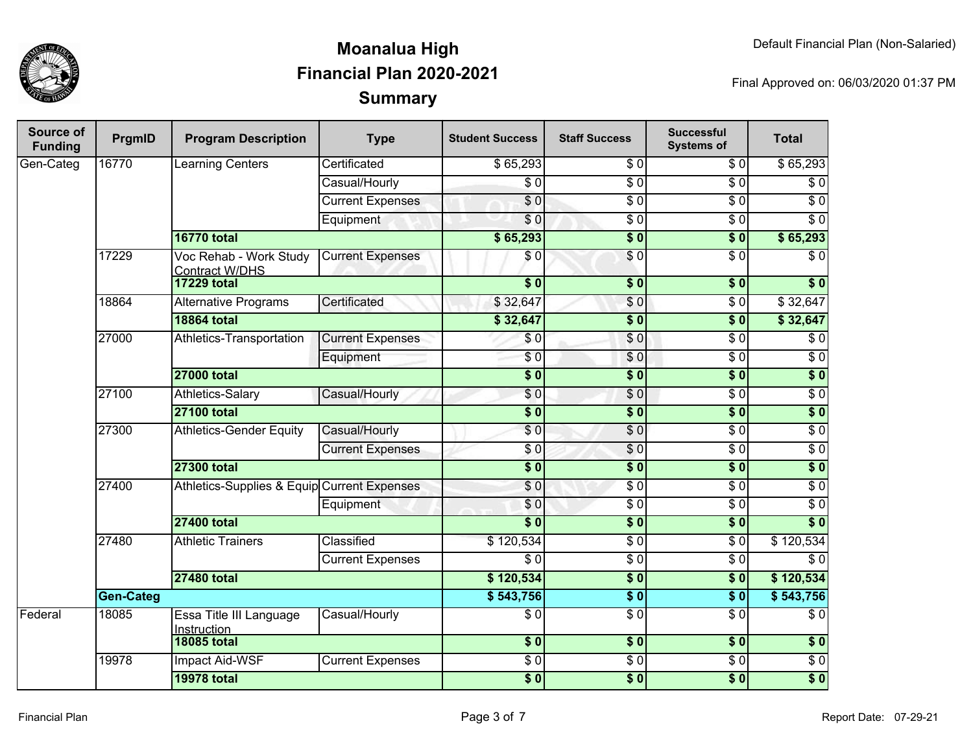

| Source of<br><b>Funding</b> | PrgmID           | <b>Program Description</b>                      | <b>Type</b>             | <b>Student Success</b> | <b>Staff Success</b> | <b>Successful</b><br><b>Systems of</b> | <b>Total</b>     |
|-----------------------------|------------------|-------------------------------------------------|-------------------------|------------------------|----------------------|----------------------------------------|------------------|
| Gen-Categ                   | 16770            | Learning Centers                                | Certificated            | \$65,293               | \$0                  | \$0                                    | \$65,293         |
|                             |                  |                                                 | Casual/Hourly           | $\overline{\$0}$       | $\overline{\$0}$     | $\overline{\$0}$                       | $\sqrt{6}$       |
|                             |                  |                                                 | <b>Current Expenses</b> | $\overline{\$0}$       | $\overline{\$0}$     | $\overline{\$0}$                       | $\overline{\$0}$ |
|                             |                  |                                                 | Equipment               | $\overline{S}0$        | $\overline{\$0}$     | $\overline{\$0}$                       | $\overline{\$0}$ |
|                             |                  | <b>16770 total</b>                              |                         | \$65,293               | $\overline{\$0}$     | s <sub>0</sub>                         | \$65,293         |
|                             | 17229            | Voc Rehab - Work Study<br><b>Contract W/DHS</b> | <b>Current Expenses</b> | \$0                    | $\sqrt{6}$           | $\overline{\$0}$                       | $\overline{\$0}$ |
|                             |                  | <b>17229 total</b>                              |                         | $\overline{\bullet}$   | $\overline{\$0}$     | s <sub>0</sub>                         | $\overline{\$0}$ |
|                             | 18864            | <b>Alternative Programs</b>                     | Certificated            | \$32,647               | \$0                  | $\overline{\$0}$                       | \$32,647         |
|                             |                  | <b>18864 total</b>                              |                         | \$32,647               | $\overline{\$0}$     | $\overline{\$0}$                       | \$32,647         |
|                             | 27000            | Athletics-Transportation                        | <b>Current Expenses</b> | \$0                    | \$0                  | $\overline{\$0}$                       | $\overline{\$0}$ |
|                             |                  |                                                 | Equipment               | $\overline{\$0}$       | $\overline{S}0$      | $\overline{\$0}$                       | $\overline{\$0}$ |
|                             |                  | <b>27000 total</b>                              |                         | $\overline{\bullet}$   | $\overline{\$0}$     | $\overline{\$0}$                       | $\overline{\$0}$ |
|                             | 27100            | <b>Athletics-Salary</b>                         | Casual/Hourly           | \$0                    | $\overline{\$0}$     | $\overline{\$0}$                       | $\overline{\$0}$ |
|                             |                  | <b>27100 total</b>                              |                         | $\overline{\bullet}$   | $\overline{\$0}$     | 30                                     | $\overline{\$0}$ |
|                             | 27300            | <b>Athletics-Gender Equity</b>                  | Casual/Hourly           | $\overline{\$0}$       | $\overline{\$0}$     | $\overline{\$0}$                       | $\overline{\$0}$ |
|                             |                  |                                                 | <b>Current Expenses</b> | $\frac{6}{6}$          | $\sqrt{6}$           | $\overline{\$0}$                       | $\overline{60}$  |
|                             |                  | <b>27300 total</b>                              |                         | $\overline{\bullet}$   | $\overline{\$0}$     | $\overline{\$0}$                       | $\overline{\$0}$ |
|                             | 27400            | Athletics-Supplies & Equip Current Expenses     |                         | $\overline{\$0}$       | $\overline{\$0}$     | $\overline{\$0}$                       | $\overline{\$0}$ |
|                             |                  |                                                 |                         | Equipment              | \$0                  | $\overline{\$0}$                       | $\overline{\$0}$ |
|                             |                  | <b>27400 total</b>                              |                         | $\overline{\$0}$       | $\overline{\$0}$     | 30                                     | $\overline{\$0}$ |
|                             | 27480            | <b>Athletic Trainers</b>                        | Classified              | \$120,534              | $\overline{\$0}$     | $\overline{\$0}$                       | \$120,534        |
|                             |                  |                                                 | <b>Current Expenses</b> | $\overline{\$0}$       | $\overline{\$0}$     | $\overline{\$0}$                       | $\overline{\$0}$ |
|                             |                  | <b>27480 total</b>                              |                         | \$120,534              | $\overline{\$0}$     | \$0                                    | \$120,534        |
|                             | <b>Gen-Categ</b> |                                                 | \$543,756               | \$0                    | $\overline{\$0}$     | \$543,756                              |                  |
| Federal                     | 18085            | Essa Title III Language<br>Instruction          | Casual/Hourly           | $\overline{\$0}$       | $\overline{\$0}$     | $\overline{\$0}$                       | $\overline{\$0}$ |
|                             |                  | <b>18085 total</b>                              |                         | $\frac{1}{2}$          | $\frac{1}{2}$        | \$0                                    | \$0              |
|                             | 19978            | Impact Aid-WSF                                  | <b>Current Expenses</b> | \$0                    | $\overline{S}0$      | $\sqrt{6}$                             | $\sqrt{6}$       |
|                             |                  | <b>19978 total</b>                              |                         | $\overline{\$0}$       | \$0                  | \$0                                    | $\overline{\$0}$ |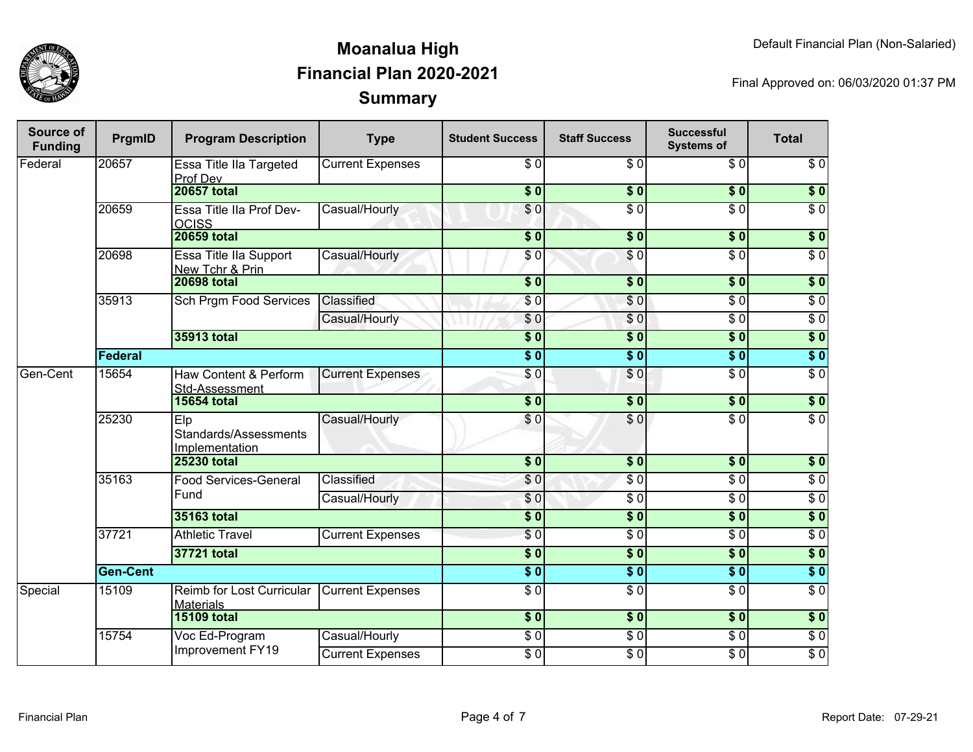

| Source of<br><b>Funding</b> | PrgmID          | <b>Program Description</b>                     | <b>Type</b>                  | <b>Student Success</b>    | <b>Staff Success</b> | <b>Successful</b><br><b>Systems of</b> | <b>Total</b>     |                  |
|-----------------------------|-----------------|------------------------------------------------|------------------------------|---------------------------|----------------------|----------------------------------------|------------------|------------------|
| Federal                     | 20657           | Essa Title IIa Targeted<br>Prof Dev            | <b>Current Expenses</b>      | \$0                       | \$0                  | \$0                                    | \$0              |                  |
|                             |                 | <b>20657 total</b>                             |                              | $\sqrt{6}$                | $\overline{\$0}$     | $\overline{\textbf{50}}$               | \$0              |                  |
|                             | 20659           | Essa Title IIa Prof Dev-<br><b>OCISS</b>       | Casual/Hourly                | \$0                       | $\overline{\$0}$     | $\overline{\$0}$                       | $\overline{30}$  |                  |
|                             |                 | <b>20659 total</b>                             |                              | $\sqrt{6}$                | $\sqrt{6}$           | \$0                                    | \$0              |                  |
|                             | 20698           | Essa Title IIa Support<br>New Tchr & Prin      | Casual/Hourly                | \$0                       | \$0                  | $\overline{\$0}$                       | $\sqrt{6}$       |                  |
|                             |                 | <b>20698 total</b>                             |                              | $\overline{\$0}$          | $\overline{\$0}$     | $\overline{\$0}$                       | $\overline{\$0}$ |                  |
|                             | 35913           | <b>Sch Prgm Food Services</b>                  | <b>Classified</b>            | \$0                       | \$0                  | $\overline{30}$                        | $\overline{\$0}$ |                  |
|                             |                 |                                                | Casual/Hourly                | \$0                       | \$0                  | $\overline{S}0$                        | $\overline{\$0}$ |                  |
|                             |                 | 35913 total                                    |                              | $\overline{\$0}$          | $\overline{\$0}$     | $\overline{\$0}$                       | $\overline{\$0}$ |                  |
|                             | Federal         |                                                |                              | $\overline{\$0}$          | $\overline{\$0}$     | $\overline{\bullet}$                   | $\overline{\$0}$ |                  |
| Gen-Cent                    | 15654           | Haw Content & Perform<br>Std-Assessment        | <b>Current Expenses</b>      | $\overline{\$0}$          | $\overline{\$0}$     | $\overline{\$0}$                       | $\overline{60}$  |                  |
|                             |                 | <b>15654 total</b>                             |                              | \$0                       | \$0                  | \$0                                    | $\sqrt{6}$       |                  |
|                             | 25230           | Elp<br>Standards/Assessments<br>Implementation | Casual/Hourly                | \$0                       | \$0                  | $\overline{\$0}$                       | $\overline{\$0}$ |                  |
|                             |                 | <b>25230 total</b>                             |                              | $\overline{\$0}$          | $\overline{\$0}$     | $\overline{\$0}$                       | $\sqrt{6}$       |                  |
|                             | 35163           |                                                | <b>Food Services-General</b> | Classified                | \$0                  | $\overline{\$0}$                       | $\overline{\$0}$ | $\overline{\$0}$ |
|                             |                 | Fund                                           | Casual/Hourly                | \$0                       | $\overline{S}0$      | $\overline{S}0$                        | $\overline{50}$  |                  |
|                             |                 | 35163 total                                    |                              | $\overline{\$0}$          | \$0                  | $\overline{\$0}$                       | $\overline{\$0}$ |                  |
|                             | 37721           | <b>Athletic Travel</b>                         | <b>Current Expenses</b>      | $\overline{\$0}$          | $\overline{30}$      | $\overline{60}$                        | $\overline{60}$  |                  |
|                             |                 | 37721 total                                    |                              | $\overline{\$0}$          | $\overline{\$0}$     | $\overline{\$0}$                       | \$0              |                  |
|                             | <b>Gen-Cent</b> |                                                |                              | \$0                       | $\overline{\$0}$     | $\overline{\$0}$                       | $\overline{\$0}$ |                  |
| Special                     | 15109           | Reimb for Lost Curricular<br><b>Materials</b>  | <b>Current Expenses</b>      | $\overline{S}0$           | $\overline{30}$      | $\overline{60}$                        | $\overline{\$0}$ |                  |
|                             |                 | <b>15109 total</b>                             |                              | $\overline{\textbf{S}^0}$ | $\overline{\$0}$     | $\overline{\$0}$                       | $\overline{\$0}$ |                  |
|                             | 15754           | Voc Ed-Program                                 | Casual/Hourly                | $\sqrt{6}$                | $\overline{30}$      | $\overline{\$0}$                       | $\overline{\$0}$ |                  |
|                             |                 | Improvement FY19                               | <b>Current Expenses</b>      | $\overline{S}0$           | $\overline{\$0}$     | $\overline{\$0}$                       | $\overline{60}$  |                  |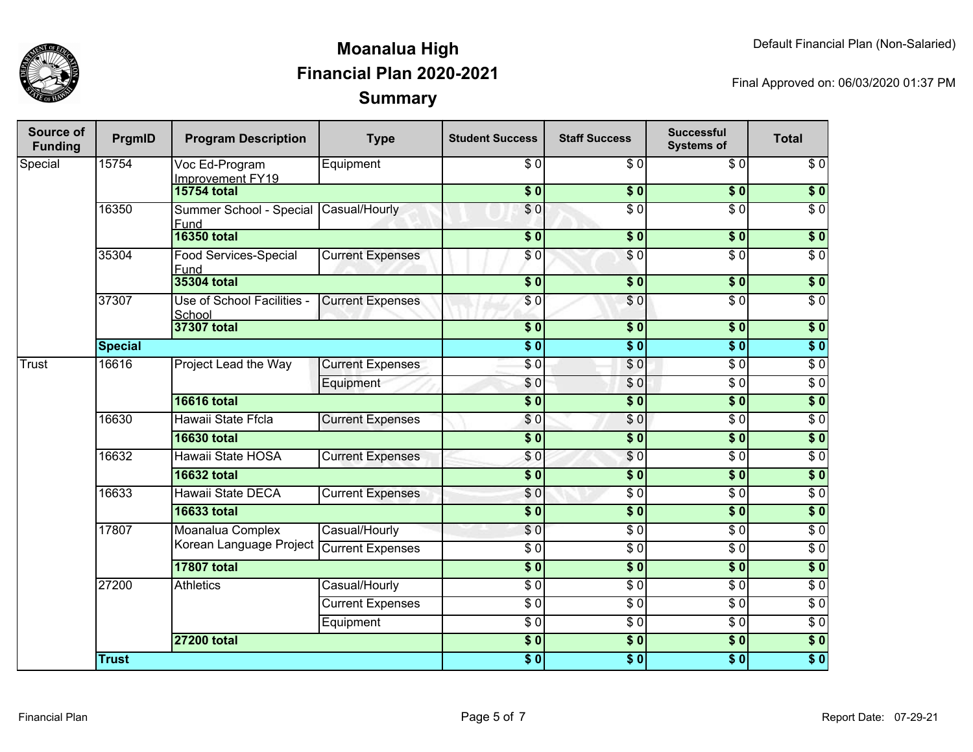

| Source of<br><b>Funding</b> | PrgmID         | <b>Program Description</b>                    | <b>Type</b>             | <b>Student Success</b> | <b>Staff Success</b> | <b>Successful</b><br><b>Systems of</b> | <b>Total</b>     |
|-----------------------------|----------------|-----------------------------------------------|-------------------------|------------------------|----------------------|----------------------------------------|------------------|
| Special                     | 15754          | Voc Ed-Program<br>Improvement FY19            | Equipment               | \$0                    | \$0                  | \$0                                    | \$0              |
|                             |                | <b>15754 total</b>                            |                         | $s$ <sub>0</sub>       | \$0                  | $\overline{\$0}$                       | $\overline{\$0}$ |
|                             | 16350          | Summer School - Special Casual/Hourly<br>Fund |                         | \$0                    | $\overline{\$0}$     | $\overline{\$0}$                       | $\overline{\$0}$ |
|                             |                | <b>16350 total</b>                            |                         | $\overline{\$0}$       | $\sqrt{6}$           | $\overline{\$0}$                       | \$0              |
|                             | 35304          | <b>Food Services-Special</b><br>Fund          | <b>Current Expenses</b> | \$0                    | \$0                  | $\sqrt{6}$                             | $\sqrt{6}$       |
|                             |                | 35304 total                                   |                         | $\overline{\$0}$       | $\overline{\$0}$     | $\overline{\$0}$                       | $\overline{\$0}$ |
|                             | 37307          | Use of School Facilities -<br>School          | <b>Current Expenses</b> | \$0                    | \$0                  | $\overline{\$0}$                       | $\overline{\$0}$ |
|                             |                | 37307 total                                   |                         | $\overline{\$0}$       | $\sqrt{6}$           | $\overline{\$0}$                       | $\overline{\$0}$ |
|                             | <b>Special</b> |                                               |                         | $\overline{\$0}$       | $\overline{\$0}$     | $\overline{\$0}$                       | $\overline{\$0}$ |
| Trust                       | 16616          | Project Lead the Way                          | <b>Current Expenses</b> | $\overline{\$0}$       | $\sqrt{0}$           | $\overline{\$0}$                       | $\overline{\$0}$ |
|                             |                |                                               | Equipment               | $\overline{\$0}$       | \$0                  | $\overline{\$0}$                       | $\overline{30}$  |
|                             |                | <b>16616 total</b>                            |                         | $\overline{\$0}$       | $\overline{\$0}$     | $\overline{\$0}$                       | \$0              |
|                             | 16630          | Hawaii State Ffcla                            | <b>Current Expenses</b> | \$0                    | $\sqrt{0}$           | $\overline{\$0}$                       | $\overline{\$0}$ |
|                             |                | <b>16630 total</b>                            |                         | $\overline{\$0}$       | $\overline{\$0}$     | $\overline{\$0}$                       | $\overline{\$0}$ |
|                             | 16632          | Hawaii State HOSA                             | <b>Current Expenses</b> | \$0                    | $\sqrt{0}$           | $\overline{\$0}$                       | $\overline{\$0}$ |
|                             |                | <b>16632 total</b>                            |                         | $\overline{\$0}$       | $\overline{\$0}$     | $\overline{\$0}$                       | $\overline{\$0}$ |
|                             | 16633          | Hawaii State DECA                             | <b>Current Expenses</b> | $\overline{\$0}$       | $\overline{$}0$      | $\overline{\$0}$                       | $\overline{30}$  |
|                             |                | <b>16633 total</b>                            |                         | $\overline{\$0}$       | $\overline{\$0}$     | $\overline{\$0}$                       | $\overline{\$0}$ |
|                             | 17807          | Moanalua Complex                              | Casual/Hourly           | \$0                    | $\overline{\$0}$     | $\overline{\$0}$                       | $\overline{\$0}$ |
|                             |                | Korean Language Project                       | <b>Current Expenses</b> | $\overline{\$0}$       | $\overline{$}0$      | $\overline{\$0}$                       | $\overline{\$0}$ |
|                             |                | <b>17807 total</b>                            |                         | $\overline{\$0}$       | $\overline{\$}0$     | $\overline{\$0}$                       | $\overline{\$0}$ |
|                             | 27200          | <b>Athletics</b>                              | Casual/Hourly           | $\overline{\$0}$       | $\overline{60}$      | $\overline{\$0}$                       | $\overline{\$0}$ |
|                             |                |                                               | <b>Current Expenses</b> | $\overline{\$0}$       | $\overline{\$0}$     | $\overline{\$0}$                       | $\overline{\$0}$ |
|                             |                |                                               | Equipment               | $\overline{\$0}$       | $\overline{$}0$      | $\overline{\$0}$                       | $\overline{\$0}$ |
|                             |                | <b>27200 total</b>                            |                         | $\sqrt{6}$             | $\sqrt{6}$           | $\overline{\$0}$                       | $\overline{\$0}$ |
|                             | <b>Trust</b>   |                                               |                         | \$0                    | $\overline{\$0}$     | $\sqrt{6}$                             | $\overline{\$0}$ |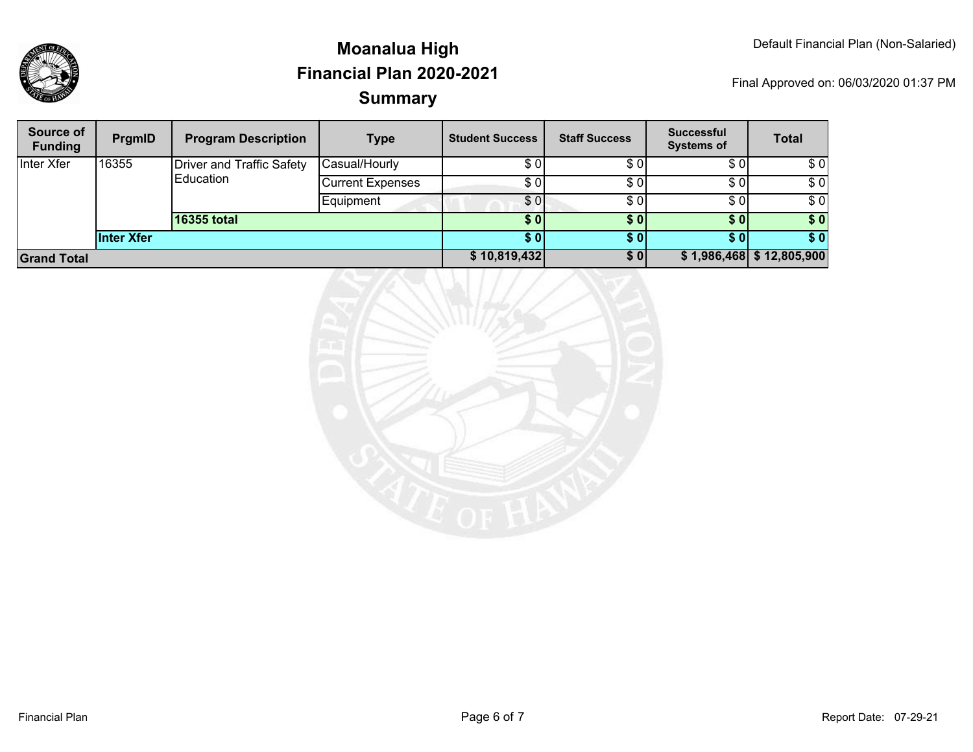

| Source of<br><b>Funding</b> | PrgmID     | <b>Program Description</b>       | <b>Type</b>             | <b>Student Success</b> | <b>Staff Success</b> | <b>Successful</b><br><b>Systems of</b> | <b>Total</b> |
|-----------------------------|------------|----------------------------------|-------------------------|------------------------|----------------------|----------------------------------------|--------------|
| Inter Xfer                  | 16355      | <b>Driver and Traffic Safety</b> | Casual/Hourly           | \$0                    | \$0                  | \$0                                    | \$0          |
|                             |            | Education                        | <b>Current Expenses</b> | \$ OI                  | \$0                  | \$0                                    | \$0          |
|                             |            |                                  | Equipment               | \$0                    | \$0                  | \$0                                    | \$0          |
|                             |            | 16355 total                      |                         | \$ 0 I                 | \$0                  | \$0                                    | \$0          |
|                             | Inter Xfer |                                  |                         | S 0 I                  | \$0                  | \$01                                   | \$0          |
| <b>Grand Total</b>          |            |                                  | \$10,819,432            | \$0                    |                      | $$1,986,468$ $$12,805,900$             |              |